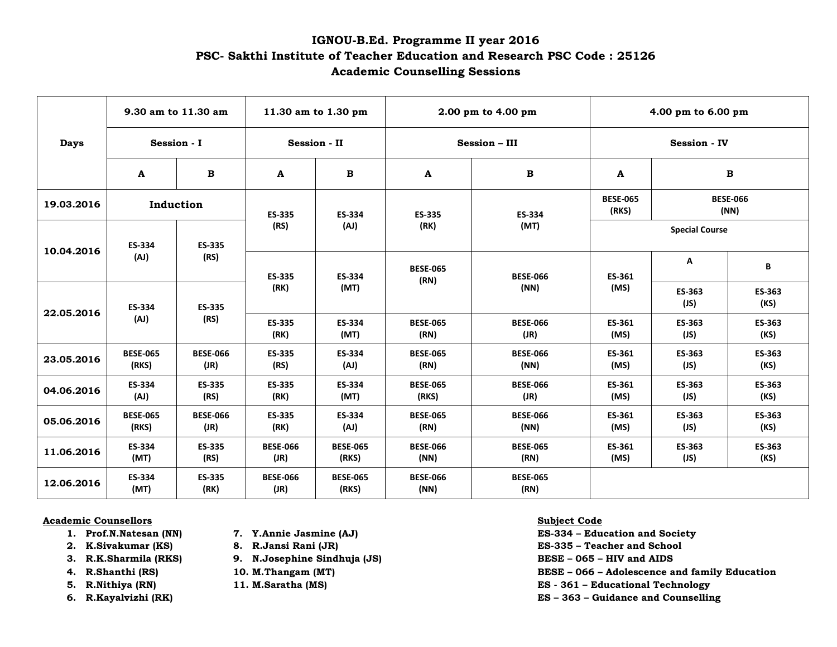## **IGNOU-B.Ed. Programme II year 2016 PSC- Sakthi Institute of Teacher Education and Research PSC Code : 25126 Academic Counselling Sessions**

| <b>Days</b> | 9.30 am to 11.30 am      |                         | 11.30 am to 1.30 pm     |                          | 2.00 pm to 4.00 pm       |                         | 4.00 pm to 6.00 pm       |                         |                |
|-------------|--------------------------|-------------------------|-------------------------|--------------------------|--------------------------|-------------------------|--------------------------|-------------------------|----------------|
|             | Session - I              |                         | Session - II            |                          | <b>Session - III</b>     |                         | <b>Session - IV</b>      |                         |                |
|             | A                        | B                       | A                       | $\mathbf B$              | A                        | $\mathbf B$             | A                        |                         | $\, {\bf B}$   |
| 19.03.2016  | Induction                |                         | ES-335                  | ES-334                   | <b>ES-335</b>            | <b>ES-334</b>           | <b>BESE-065</b><br>(RKS) | <b>BESE-066</b><br>(NN) |                |
| 10.04.2016  | ES-334<br>(AJ)           | ES-335<br>(RS)          | (RS)                    | (AJ)                     | (RK)                     | (MT)                    | <b>Special Course</b>    |                         |                |
|             |                          |                         | ES-335<br>(RK)          | ES-334<br>(MT)           | <b>BESE-065</b><br>(RN)  | <b>BESE-066</b><br>(NN) | ES-361<br>(MS)           | А                       | В              |
| 22.05.2016  | ES-334<br>(AJ)           | ES-335<br>(RS)          |                         |                          |                          |                         |                          | ES-363<br>(JS)          | ES-363<br>(KS) |
|             |                          |                         | ES-335<br>(RK)          | ES-334<br>(MT)           | <b>BESE-065</b><br>(RN)  | <b>BESE-066</b><br>(JR) | ES-361<br>(MS)           | ES-363<br>(JS)          | ES-363<br>(KS) |
| 23.05.2016  | <b>BESE-065</b><br>(RKS) | <b>BESE-066</b><br>(JR) | ES-335<br>(RS)          | ES-334<br>(AJ)           | <b>BESE-065</b><br>(RN)  | <b>BESE-066</b><br>(NN) | ES-361<br>(MS)           | ES-363<br>(JS)          | ES-363<br>(KS) |
| 04.06.2016  | ES-334<br>(AJ)           | ES-335<br>(RS)          | ES-335<br>(RK)          | ES-334<br>(MT)           | <b>BESE-065</b><br>(RKS) | <b>BESE-066</b><br>(JR) | ES-361<br>(MS)           | ES-363<br>(JS)          | ES-363<br>(KS) |
| 05.06.2016  | <b>BESE-065</b><br>(RKS) | <b>BESE-066</b><br>(JR) | <b>ES-335</b><br>(RK)   | <b>ES-334</b><br>(AJ)    | <b>BESE-065</b><br>(RN)  | <b>BESE-066</b><br>(NN) | ES-361<br>(MS)           | ES-363<br>(JS)          | ES-363<br>(KS) |
| 11.06.2016  | ES-334<br>(MT)           | ES-335<br>(RS)          | <b>BESE-066</b><br>(JR) | <b>BESE-065</b><br>(RKS) | <b>BESE-066</b><br>(NN)  | <b>BESE-065</b><br>(RN) | ES-361<br>(MS)           | ES-363<br>(JS)          | ES-363<br>(KS) |
| 12.06.2016  | ES-334<br>(MT)           | ES-335<br>(RK)          | <b>BESE-066</b><br>(JR) | <b>BESE-065</b><br>(RKS) | <b>BESE-066</b><br>(NN)  | <b>BESE-065</b><br>(RN) |                          |                         |                |

## **Academic Counsellors Subject Code**

- 
- 
- 
- 
- 
- 
- 
- 
- **3. R.K.Sharmila (RKS) 9. N.Josephine Sindhuja (JS) BESE – 065 – HIV and AIDS**
	-
	-
- 
- **1. Prof.N.Natesan (NN) 7. Y.Annie Jasmine (AJ) ES-334 – Education and Society**
- **2. K.Sivakumar (KS) 8. R.Jansi Rani (JR) ES-335 – Teacher and School**
	-
- **4. R.Shanthi (RS) 10. M.Thangam (MT) BESE – 066 – Adolescence and family Education**
- **5. R.Nithiya (RN) 11. M.Saratha (MS) ES - 361 – Educational Technology**
- **6. R.Kayalvizhi (RK) ES – 363 – Guidance and Counselling**